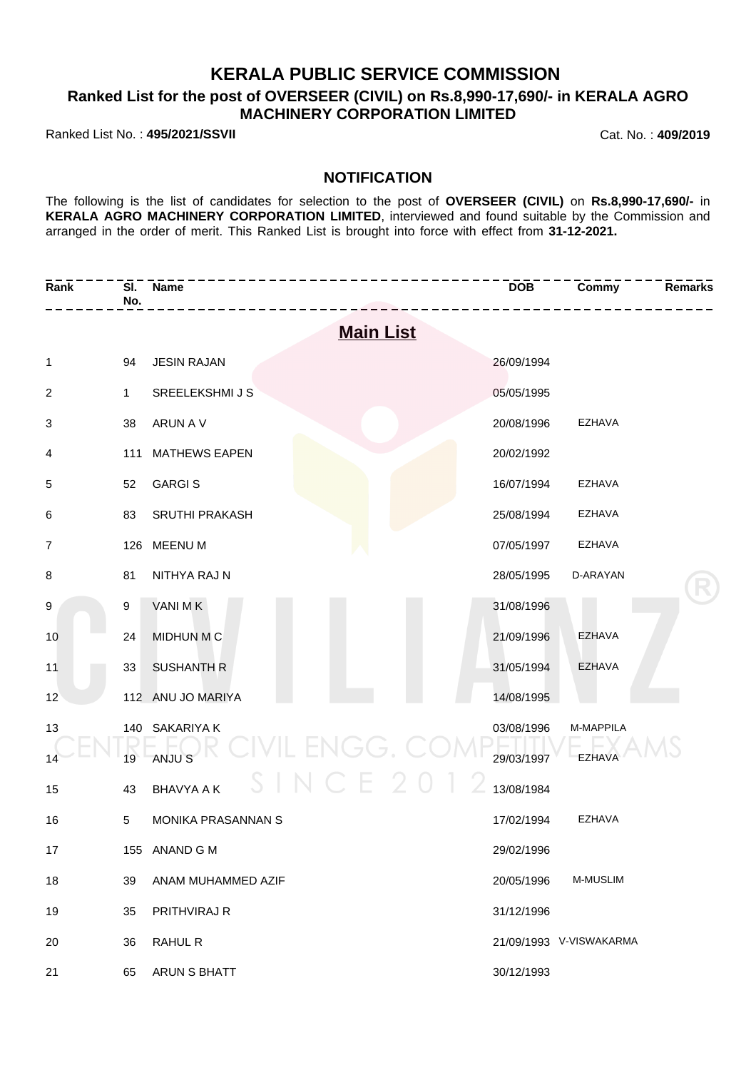## **KERALA PUBLIC SERVICE COMMISSION**

## **Ranked List for the post of OVERSEER (CIVIL) on Rs.8,990-17,690/- in KERALA AGRO MACHINERY CORPORATION LIMITED**

Ranked List No. : **495/2021/SSVII** Cat. No. : **409/2019**

### **NOTIFICATION**

The following is the list of candidates for selection to the post of **OVERSEER (CIVIL)** on **Rs.8,990-17,690/-** in **KERALA AGRO MACHINERY CORPORATION LIMITED**, interviewed and found suitable by the Commission and arranged in the order of merit. This Ranked List is brought into force with effect from **31-12-2021.**

| Rank             | SI.<br>No.      | Name                       | <b>DOB</b> | Commy                   | <b>Remarks</b> |  |
|------------------|-----------------|----------------------------|------------|-------------------------|----------------|--|
| <b>Main List</b> |                 |                            |            |                         |                |  |
| 1                | 94              | <b>JESIN RAJAN</b>         | 26/09/1994 |                         |                |  |
| $\overline{c}$   | $\mathbf{1}$    | SREELEKSHMI J S            | 05/05/1995 |                         |                |  |
| 3                | 38              | ARUN A V                   | 20/08/1996 | EZHAVA                  |                |  |
| 4                | 111             | <b>MATHEWS EAPEN</b>       | 20/02/1992 |                         |                |  |
| 5                | 52              | <b>GARGIS</b>              | 16/07/1994 | EZHAVA                  |                |  |
| 6                | 83              | SRUTHI PRAKASH             | 25/08/1994 | EZHAVA                  |                |  |
| $\overline{7}$   |                 | 126 MEENU M                | 07/05/1997 | EZHAVA                  |                |  |
| 8                | 81              | NITHYA RAJ N               | 28/05/1995 | D-ARAYAN                |                |  |
| 9                | 9               | VANI MK                    | 31/08/1996 |                         |                |  |
| 10               | 24              | <b>MIDHUN M C</b>          | 21/09/1996 | <b>EZHAVA</b>           |                |  |
| 11               | 33              | <b>SUSHANTH R</b>          | 31/05/1994 | <b>EZHAVA</b>           |                |  |
| 12               |                 | 112 ANU JO MARIYA          | 14/08/1995 |                         |                |  |
| 13               |                 | 140 SAKARIYA K             | 03/08/1996 | M-MAPPILA               |                |  |
| 14               | 19              | IL ENGG. C<br>ANJU S       | 29/03/1997 | <b>EZHAVA</b>           |                |  |
| 15               | 43              | C E 2<br><b>BHAVYA A K</b> | 13/08/1984 |                         |                |  |
| 16               | $5\phantom{.0}$ | MONIKA PRASANNAN S         | 17/02/1994 | <b>EZHAVA</b>           |                |  |
| 17               |                 | 155 ANAND G M              | 29/02/1996 |                         |                |  |
| 18               | 39              | ANAM MUHAMMED AZIF         | 20/05/1996 | M-MUSLIM                |                |  |
| 19               | 35              | PRITHVIRAJ R               | 31/12/1996 |                         |                |  |
| 20               | 36              | <b>RAHUL R</b>             |            | 21/09/1993 V-VISWAKARMA |                |  |
| 21               | 65              | ARUN S BHATT               | 30/12/1993 |                         |                |  |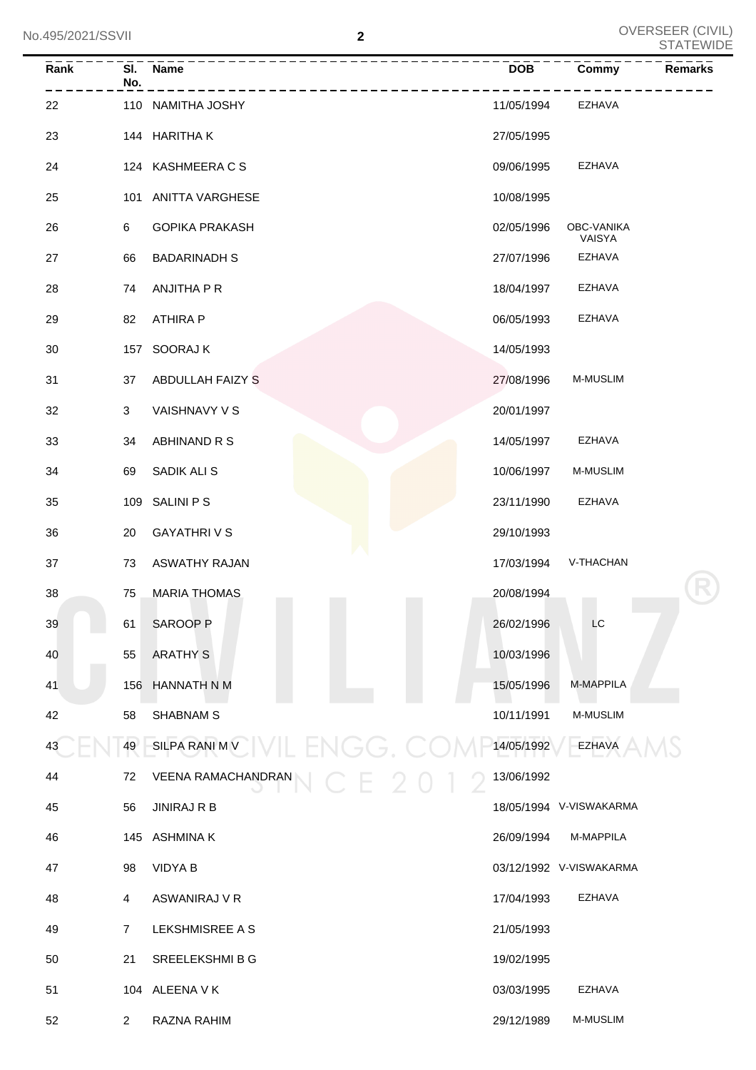| $\overline{Rank}$ | No.            | SI. Name                       | <b>DOB</b> | <b>Commy</b>            | <b>Remarks</b> |
|-------------------|----------------|--------------------------------|------------|-------------------------|----------------|
| 22                |                | 110 NAMITHA JOSHY              | 11/05/1994 | EZHAVA                  |                |
| 23                |                | 144 HARITHAK                   | 27/05/1995 |                         |                |
| 24                |                | 124 KASHMEERA C S              | 09/06/1995 | <b>EZHAVA</b>           |                |
| 25                |                | 101 ANITTA VARGHESE            | 10/08/1995 |                         |                |
| 26                | 6              | <b>GOPIKA PRAKASH</b>          | 02/05/1996 | OBC-VANIKA<br>VAISYA    |                |
| 27                | 66             | <b>BADARINADH S</b>            | 27/07/1996 | EZHAVA                  |                |
| 28                | 74             | ANJITHA P R                    | 18/04/1997 | EZHAVA                  |                |
| 29                | 82             | <b>ATHIRA P</b>                | 06/05/1993 | <b>EZHAVA</b>           |                |
| 30                |                | 157 SOORAJ K                   | 14/05/1993 |                         |                |
| 31                | 37             | ABDULLAH FAIZY S               | 27/08/1996 | <b>M-MUSLIM</b>         |                |
| 32                | 3              | VAISHNAVY V S                  | 20/01/1997 |                         |                |
| 33                | 34             | ABHINAND R S                   | 14/05/1997 | <b>EZHAVA</b>           |                |
| 34                | 69             | SADIK ALI S                    | 10/06/1997 | M-MUSLIM                |                |
| 35                |                | 109 SALINI P S                 | 23/11/1990 | <b>EZHAVA</b>           |                |
| 36                | 20             | <b>GAYATHRIVS</b>              | 29/10/1993 |                         |                |
| 37                | 73             | <b>ASWATHY RAJAN</b>           | 17/03/1994 | V-THACHAN               |                |
| 38                | 75             | <b>MARIA THOMAS</b>            | 20/08/1994 |                         |                |
| 39                | 61<br>$\sim$   | SAROOP <sub>P</sub>            | 26/02/1996 | LC                      |                |
| 40                | 55             | <b>ARATHY S</b>                | 10/03/1996 |                         |                |
| 41                |                | 156 HANNATH N M                | 15/05/1996 | M-MAPPILA               |                |
| 42                | 58             | <b>SHABNAM S</b>               | 10/11/1991 | M-MUSLIM                |                |
| 43                | 49             | SILPARANIMV VIL ENGG.          | 14/05/1992 | <b>EZHAVA</b>           |                |
| 44                | 72             | VEENA RAMACHANDRAN<br>$C_F$ 20 | 13/06/1992 |                         |                |
| 45                | 56             | <b>JINIRAJ R B</b>             |            | 18/05/1994 V-VISWAKARMA |                |
| 46                |                | 145 ASHMINA K                  | 26/09/1994 | M-MAPPILA               |                |
| 47                | 98             | <b>VIDYA B</b>                 |            | 03/12/1992 V-VISWAKARMA |                |
| 48                | 4              | ASWANIRAJ V R                  | 17/04/1993 | EZHAVA                  |                |
| 49                | 7              | LEKSHMISREE A S                | 21/05/1993 |                         |                |
| 50                | 21             | SREELEKSHMI B G                | 19/02/1995 |                         |                |
| 51                |                | 104 ALEENA V K                 | 03/03/1995 | EZHAVA                  |                |
| 52                | $\overline{2}$ | RAZNA RAHIM                    | 29/12/1989 | M-MUSLIM                |                |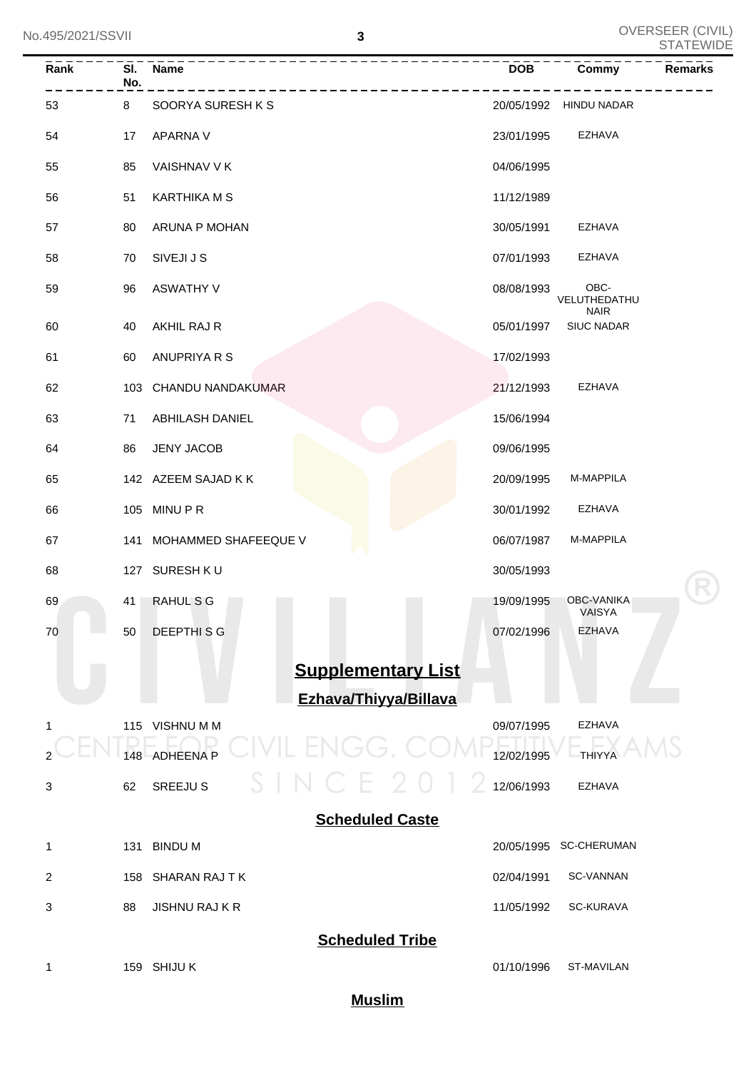| Rank                      | No. | SI. Name                              | <b>DOB</b> | <b>Commy</b><br><b>Remarks</b>      |  |  |  |
|---------------------------|-----|---------------------------------------|------------|-------------------------------------|--|--|--|
| 53                        | 8   | SOORYA SURESH K S                     |            | 20/05/1992 HINDU NADAR              |  |  |  |
| 54                        | 17  | APARNA V                              | 23/01/1995 | EZHAVA                              |  |  |  |
| 55                        | 85  | VAISHNAV V K                          | 04/06/1995 |                                     |  |  |  |
| 56                        | 51  | KARTHIKA M S                          | 11/12/1989 |                                     |  |  |  |
| 57                        | 80  | ARUNA P MOHAN                         | 30/05/1991 | EZHAVA                              |  |  |  |
| 58                        | 70  | SIVEJI J S                            | 07/01/1993 | EZHAVA                              |  |  |  |
| 59                        | 96  | ASWATHY V                             | 08/08/1993 | OBC-<br>VELUTHEDATHU<br><b>NAIR</b> |  |  |  |
| 60                        | 40  | AKHIL RAJ R                           | 05/01/1997 | <b>SIUC NADAR</b>                   |  |  |  |
| 61                        | 60  | ANUPRIYA R S                          | 17/02/1993 |                                     |  |  |  |
| 62                        |     | 103 CHANDU NANDAKUMAR                 | 21/12/1993 | EZHAVA                              |  |  |  |
| 63                        | 71  | <b>ABHILASH DANIEL</b>                | 15/06/1994 |                                     |  |  |  |
| 64                        | 86  | <b>JENY JACOB</b>                     | 09/06/1995 |                                     |  |  |  |
| 65                        |     | 142 AZEEM SAJAD K K                   | 20/09/1995 | M-MAPPILA                           |  |  |  |
| 66                        |     | 105 MINU P R                          | 30/01/1992 | EZHAVA                              |  |  |  |
| 67                        |     | 141 MOHAMMED SHAFEEQUE V              | 06/07/1987 | M-MAPPILA                           |  |  |  |
| 68                        |     | 127 SURESH KU                         | 30/05/1993 |                                     |  |  |  |
| 69                        | 41  | RAHUL S G                             | 19/09/1995 | OBC-VANIKA<br><b>VAISYA</b>         |  |  |  |
| 70                        | 50  | <b>DEEPTHISG</b>                      | 07/02/1996 | <b>EZHAVA</b>                       |  |  |  |
| <b>Supplementary List</b> |     |                                       |            |                                     |  |  |  |
| 1                         |     | Ezhava/Thiyya/Billava<br>115 VISHNUMM | 09/07/1995 | EZHAVA                              |  |  |  |
|                           | 148 | R<br>すくしょくしょ<br><b>ADHEENA P</b>      | 12/02/1995 | <b>THIYYA</b>                       |  |  |  |
| 3                         | 62  | $\Box$ N $\Box$<br><b>SREEJU S</b>    | 12/06/1993 | <b>EZHAVA</b>                       |  |  |  |
|                           |     | <b>Scheduled Caste</b>                |            |                                     |  |  |  |
| 1                         | 131 | <b>BINDUM</b>                         | 20/05/1995 | <b>SC-CHERUMAN</b>                  |  |  |  |
| 2                         | 158 | SHARAN RAJ T K                        | 02/04/1991 | SC-VANNAN                           |  |  |  |
| 3                         | 88  | <b>JISHNU RAJ K R</b>                 | 11/05/1992 | <b>SC-KURAVA</b>                    |  |  |  |
| <b>Scheduled Tribe</b>    |     |                                       |            |                                     |  |  |  |
| 1                         |     | 159 SHIJU K                           | 01/10/1996 | ST-MAVILAN                          |  |  |  |

**Muslim**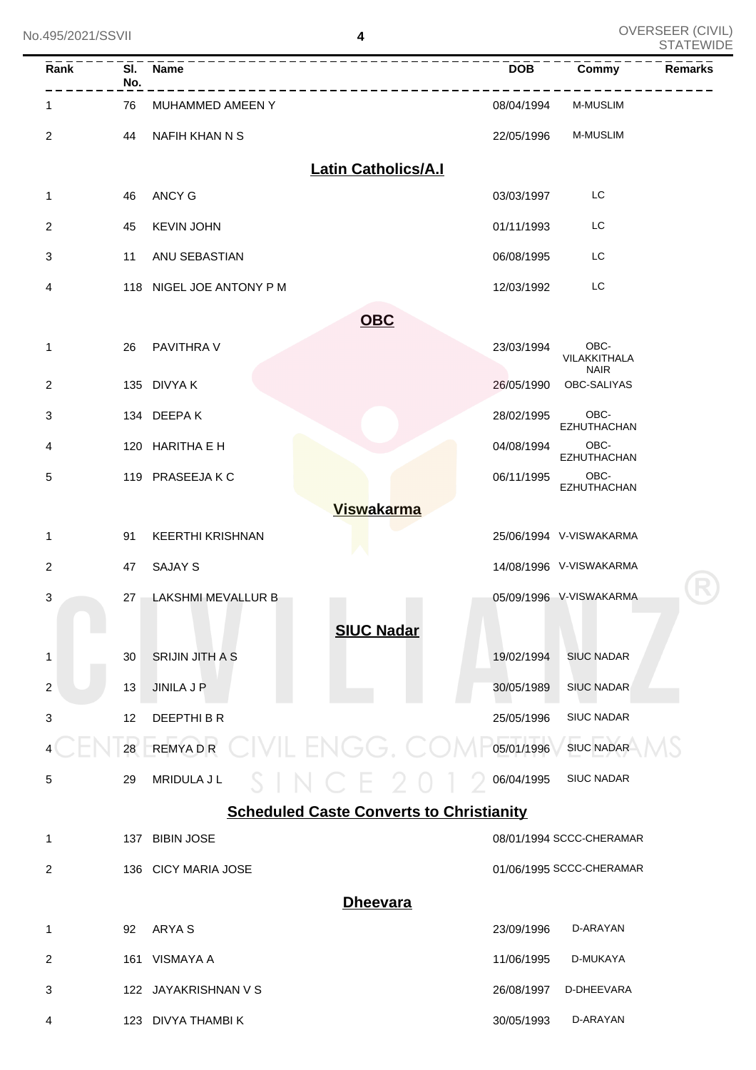| No.495/2021/SSVII         |     |                          | 4                                               | UVERSEER (UIVIL)<br><b>STATEWIDE</b> |  |
|---------------------------|-----|--------------------------|-------------------------------------------------|--------------------------------------|--|
| Rank                      | No. | SI. Name                 | <b>DOB</b>                                      | <b>Remarks</b><br>Commy              |  |
| 1                         | 76  | MUHAMMED AMEEN Y         | 08/04/1994                                      | <b>M-MUSLIM</b>                      |  |
| 2                         | 44  | NAFIH KHAN N S           | 22/05/1996                                      | M-MUSLIM                             |  |
|                           |     |                          | <b>Latin Catholics/A.I</b>                      |                                      |  |
| 1                         | 46  | <b>ANCY G</b>            | 03/03/1997                                      | LC                                   |  |
| 2                         | 45  | <b>KEVIN JOHN</b>        | 01/11/1993                                      | LC                                   |  |
| 3                         | 11  | ANU SEBASTIAN            | 06/08/1995                                      | LC                                   |  |
| 4                         |     | 118 NIGEL JOE ANTONY P M | 12/03/1992                                      | LC                                   |  |
|                           |     |                          | <b>OBC</b>                                      |                                      |  |
| 1                         | 26  | PAVITHRA V               | 23/03/1994                                      | OBC-<br>VILAKKITHALA<br><b>NAIR</b>  |  |
| $\overline{2}$            |     | 135 DIVYA K              | 26/05/1990                                      | OBC-SALIYAS                          |  |
| 3                         |     | 134 DEEPAK               | 28/02/1995                                      | OBC-<br><b>EZHUTHACHAN</b>           |  |
| 4                         |     | 120 HARITHA E H          | 04/08/1994                                      | OBC-<br>EZHUTHACHAN                  |  |
| 5                         |     | 119 PRASEEJAKC           | 06/11/1995                                      | OBC-<br>EZHUTHACHAN                  |  |
|                           |     |                          | <b>Viswakarma</b>                               |                                      |  |
| 1                         | 91  | <b>KEERTHI KRISHNAN</b>  |                                                 | 25/06/1994 V-VISWAKARMA              |  |
| 2                         | 47  | <b>SAJAY S</b>           |                                                 | 14/08/1996 V-VISWAKARMA              |  |
| 3                         |     | 27 LAKSHMI MEVALLUR B    | the contract of the contract of                 | 05/09/1996 V-VISWAKARMA              |  |
|                           |     |                          | <b>SIUC Nadar</b>                               |                                      |  |
| 1                         | 30  | <b>SRIJIN JITH A S</b>   | 19/02/1994                                      | <b>SIUC NADAR</b>                    |  |
| $\overline{c}$            | 13  | <b>JINILA J P</b>        | 30/05/1989                                      | <b>SIUC NADAR</b>                    |  |
| $\ensuremath{\mathsf{3}}$ | 12  | DEEPTHI B R              | 25/05/1996                                      | <b>SIUC NADAR</b>                    |  |
|                           | 28  | <b>REMYADR</b>           | CIVIL ENGG. CC<br>05/01/1996                    | <b>SIUC NADAR</b>                    |  |
| 5                         | 29  | MRIDULA J L              | 06/04/1995<br>$IN$ C F $2$                      | <b>SIUC NADAR</b>                    |  |
|                           |     |                          | <b>Scheduled Caste Converts to Christianity</b> |                                      |  |
| 1                         | 137 | <b>BIBIN JOSE</b>        |                                                 | 08/01/1994 SCCC-CHERAMAR             |  |
| 2                         |     | 136 CICY MARIA JOSE      |                                                 | 01/06/1995 SCCC-CHERAMAR             |  |
|                           |     |                          | <b>Dheevara</b>                                 |                                      |  |
| 1                         | 92  | ARYA S                   | 23/09/1996                                      | D-ARAYAN                             |  |
| 2                         |     | 161 VISMAYA A            | 11/06/1995                                      | D-MUKAYA                             |  |
| 3                         |     | 122 JAYAKRISHNAN V S     | 26/08/1997                                      | D-DHEEVARA                           |  |
| 4                         |     | 123 DIVYA THAMBI K       | 30/05/1993                                      | D-ARAYAN                             |  |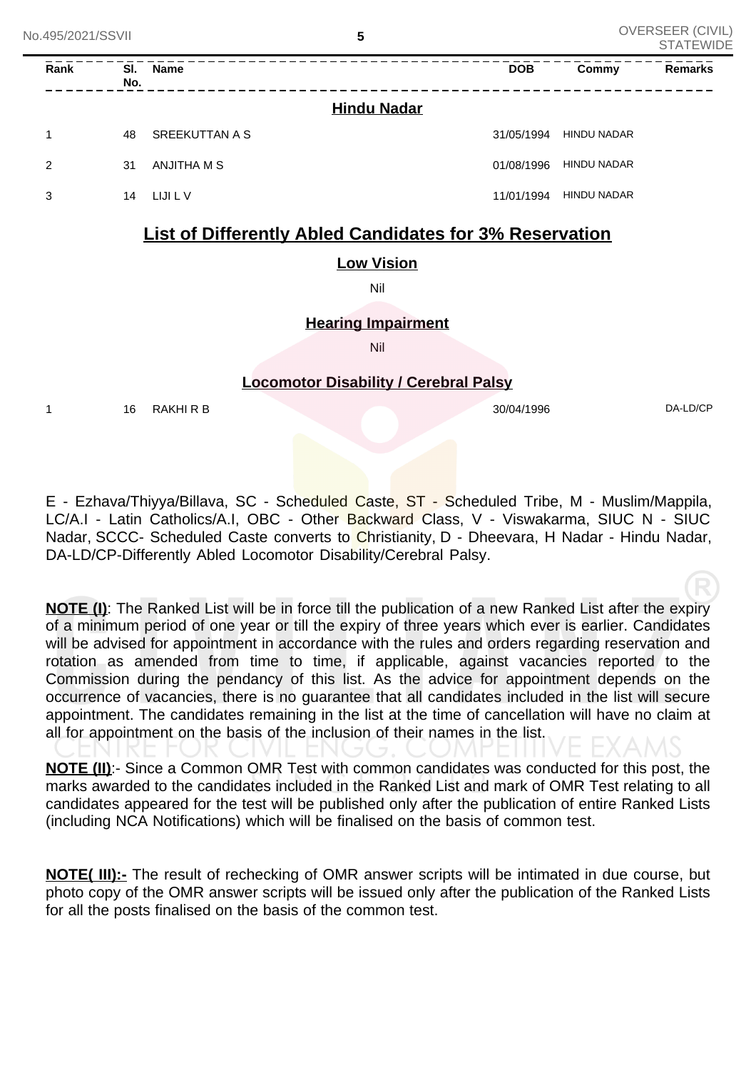| No.495/2021/SSVII |      |            | 5                     |                    |            | UVERSEER (UIVIL)<br><b>STATEWIDE</b> |                |  |
|-------------------|------|------------|-----------------------|--------------------|------------|--------------------------------------|----------------|--|
|                   | Rank | SI.<br>No. | <b>Name</b>           |                    | <b>DOB</b> | Commy                                | <b>Remarks</b> |  |
|                   |      |            |                       | <b>Hindu Nadar</b> |            |                                      |                |  |
|                   | 1    | 48         | <b>SREEKUTTAN A S</b> |                    | 31/05/1994 | <b>HINDU NADAR</b>                   |                |  |
|                   | 2    | 31         | ANJITHA M S           |                    | 01/08/1996 | <b>HINDU NADAR</b>                   |                |  |
|                   | 3    | 14         | LIJI L V              |                    | 11/01/1994 | <b>HINDU NADAR</b>                   |                |  |
|                   |      |            |                       |                    |            |                                      |                |  |

# **List of Differently Abled Candidates for 3% Reservation**

### **Low Vision**

Nil

### **Hearing Impairment**

Nil

### **Locomotor Disability / Cerebral Palsy**

1 16 RAKHI R B 30/04/1996 DA-LD/CP

E - Ezhava/Thiyya/Billava, SC - Scheduled Caste, ST - Scheduled Tribe, M - Muslim/Mappila, LC/A.I - Latin Catholics/A.I, OBC - Other Backward Class, V - Viswakarma, SIUC N - SIUC Nadar, SCCC- Scheduled Caste converts to Christianity, D - Dheevara, H Nadar - Hindu Nadar, DA-LD/CP-Differently Abled Locomotor Disability/Cerebral Palsy.

**NOTE (I)**: The Ranked List will be in force till the publication of a new Ranked List after the expiry of a minimum period of one year or till the expiry of three years which ever is earlier. Candidates will be advised for appointment in accordance with the rules and orders regarding reservation and rotation as amended from time to time, if applicable, against vacancies reported to the Commission during the pendancy of this list. As the advice for appointment depends on the occurrence of vacancies, there is no guarantee that all candidates included in the list will secure appointment. The candidates remaining in the list at the time of cancellation will have no claim at all for appointment on the basis of the inclusion of their names in the list.

**NOTE (II)**:- Since a Common OMR Test with common candidates was conducted for this post, the marks awarded to the candidates included in the Ranked List and mark of OMR Test relating to all candidates appeared for the test will be published only after the publication of entire Ranked Lists (including NCA Notifications) which will be finalised on the basis of common test.

**NOTE( III):-** The result of rechecking of OMR answer scripts will be intimated in due course, but photo copy of the OMR answer scripts will be issued only after the publication of the Ranked Lists for all the posts finalised on the basis of the common test.